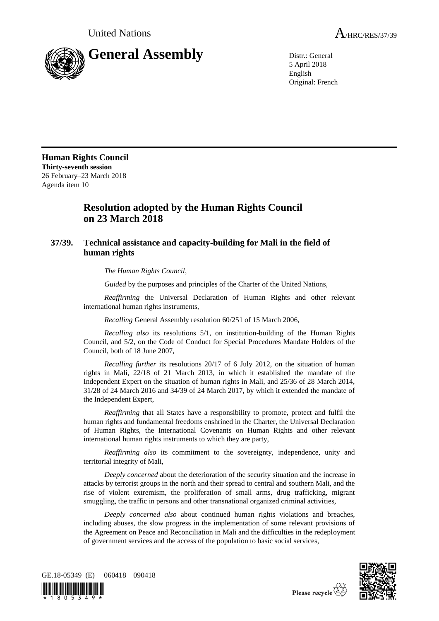

5 April 2018 English Original: French

**Human Rights Council Thirty-seventh session** 26 February–23 March 2018 Agenda item 10

## **Resolution adopted by the Human Rights Council on 23 March 2018**

## **37/39. Technical assistance and capacity-building for Mali in the field of human rights**

*The Human Rights Council*,

*Guided* by the purposes and principles of the Charter of the United Nations,

*Reaffirming* the Universal Declaration of Human Rights and other relevant international human rights instruments,

*Recalling* General Assembly resolution 60/251 of 15 March 2006,

*Recalling also* its resolutions 5/1, on institution-building of the Human Rights Council, and 5/2, on the Code of Conduct for Special Procedures Mandate Holders of the Council, both of 18 June 2007,

*Recalling further* its resolutions 20/17 of 6 July 2012, on the situation of human rights in Mali, 22/18 of 21 March 2013, in which it established the mandate of the Independent Expert on the situation of human rights in Mali, and 25/36 of 28 March 2014, 31/28 of 24 March 2016 and 34/39 of 24 March 2017, by which it extended the mandate of the Independent Expert,

*Reaffirming* that all States have a responsibility to promote, protect and fulfil the human rights and fundamental freedoms enshrined in the Charter, the Universal Declaration of Human Rights, the International Covenants on Human Rights and other relevant international human rights instruments to which they are party,

*Reaffirming also* its commitment to the sovereignty, independence, unity and territorial integrity of Mali,

*Deeply concerned* about the deterioration of the security situation and the increase in attacks by terrorist groups in the north and their spread to central and southern Mali, and the rise of violent extremism, the proliferation of small arms, drug trafficking, migrant smuggling, the traffic in persons and other transnational organized criminal activities,

*Deeply concerned also* about continued human rights violations and breaches, including abuses, the slow progress in the implementation of some relevant provisions of the Agreement on Peace and Reconciliation in Mali and the difficulties in the redeployment of government services and the access of the population to basic social services,



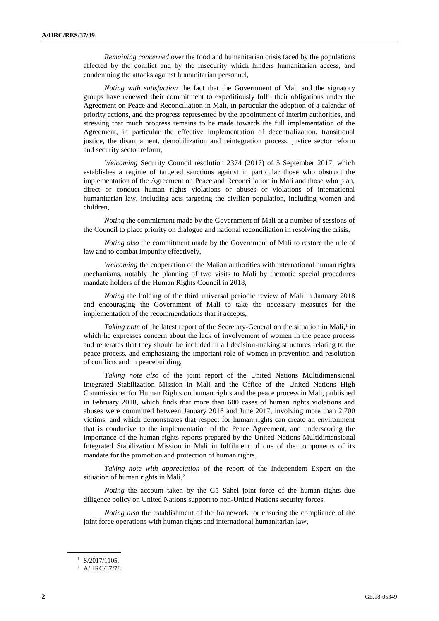*Remaining concerned* over the food and humanitarian crisis faced by the populations affected by the conflict and by the insecurity which hinders humanitarian access, and condemning the attacks against humanitarian personnel,

*Noting with satisfaction* the fact that the Government of Mali and the signatory groups have renewed their commitment to expeditiously fulfil their obligations under the Agreement on Peace and Reconciliation in Mali, in particular the adoption of a calendar of priority actions, and the progress represented by the appointment of interim authorities, and stressing that much progress remains to be made towards the full implementation of the Agreement, in particular the effective implementation of decentralization, transitional justice, the disarmament, demobilization and reintegration process, justice sector reform and security sector reform,

*Welcoming* Security Council resolution 2374 (2017) of 5 September 2017, which establishes a regime of targeted sanctions against in particular those who obstruct the implementation of the Agreement on Peace and Reconciliation in Mali and those who plan, direct or conduct human rights violations or abuses or violations of international humanitarian law, including acts targeting the civilian population, including women and children,

*Noting* the commitment made by the Government of Mali at a number of sessions of the Council to place priority on dialogue and national reconciliation in resolving the crisis,

*Noting also* the commitment made by the Government of Mali to restore the rule of law and to combat impunity effectively,

*Welcoming* the cooperation of the Malian authorities with international human rights mechanisms, notably the planning of two visits to Mali by thematic special procedures mandate holders of the Human Rights Council in 2018,

*Noting* the holding of the third universal periodic review of Mali in January 2018 and encouraging the Government of Mali to take the necessary measures for the implementation of the recommendations that it accepts,

Taking note of the latest report of the Secretary-General on the situation in Mali,<sup>1</sup> in which he expresses concern about the lack of involvement of women in the peace process and reiterates that they should be included in all decision-making structures relating to the peace process, and emphasizing the important role of women in prevention and resolution of conflicts and in peacebuilding,

*Taking note also* of the joint report of the United Nations Multidimensional Integrated Stabilization Mission in Mali and the Office of the United Nations High Commissioner for Human Rights on human rights and the peace process in Mali, published in February 2018, which finds that more than 600 cases of human rights violations and abuses were committed between January 2016 and June 2017, involving more than 2,700 victims, and which demonstrates that respect for human rights can create an environment that is conducive to the implementation of the Peace Agreement, and underscoring the importance of the human rights reports prepared by the United Nations Multidimensional Integrated Stabilization Mission in Mali in fulfilment of one of the components of its mandate for the promotion and protection of human rights,

*Taking note with appreciation* of the report of the Independent Expert on the situation of human rights in Mali, $2$ 

*Noting* the account taken by the G5 Sahel joint force of the human rights due diligence policy on United Nations support to non-United Nations security forces,

*Noting also* the establishment of the framework for ensuring the compliance of the joint force operations with human rights and international humanitarian law,

<sup>1</sup> S/2017/1105.

<sup>2</sup> A/HRC/37/78.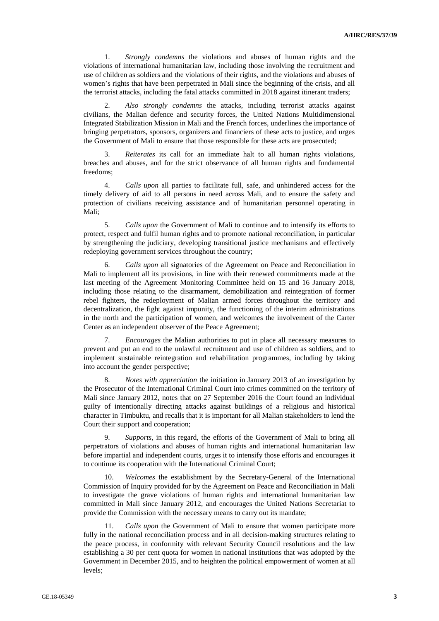1. *Strongly condemns* the violations and abuses of human rights and the violations of international humanitarian law, including those involving the recruitment and use of children as soldiers and the violations of their rights, and the violations and abuses of women's rights that have been perpetrated in Mali since the beginning of the crisis, and all the terrorist attacks, including the fatal attacks committed in 2018 against itinerant traders;

2. *Also strongly condemns* the attacks, including terrorist attacks against civilians, the Malian defence and security forces, the United Nations Multidimensional Integrated Stabilization Mission in Mali and the French forces, underlines the importance of bringing perpetrators, sponsors, organizers and financiers of these acts to justice, and urges the Government of Mali to ensure that those responsible for these acts are prosecuted;

3. *Reiterates* its call for an immediate halt to all human rights violations, breaches and abuses, and for the strict observance of all human rights and fundamental freedoms;

4. *Calls upon* all parties to facilitate full, safe, and unhindered access for the timely delivery of aid to all persons in need across Mali, and to ensure the safety and protection of civilians receiving assistance and of humanitarian personnel operating in Mali;

5. *Calls upon* the Government of Mali to continue and to intensify its efforts to protect, respect and fulfil human rights and to promote national reconciliation, in particular by strengthening the judiciary, developing transitional justice mechanisms and effectively redeploying government services throughout the country;

6. *Calls upon* all signatories of the Agreement on Peace and Reconciliation in Mali to implement all its provisions, in line with their renewed commitments made at the last meeting of the Agreement Monitoring Committee held on 15 and 16 January 2018, including those relating to the disarmament, demobilization and reintegration of former rebel fighters, the redeployment of Malian armed forces throughout the territory and decentralization, the fight against impunity, the functioning of the interim administrations in the north and the participation of women, and welcomes the involvement of the Carter Center as an independent observer of the Peace Agreement;

7. *Encourages* the Malian authorities to put in place all necessary measures to prevent and put an end to the unlawful recruitment and use of children as soldiers, and to implement sustainable reintegration and rehabilitation programmes, including by taking into account the gender perspective;

8. *Notes with appreciation* the initiation in January 2013 of an investigation by the Prosecutor of the International Criminal Court into crimes committed on the territory of Mali since January 2012, notes that on 27 September 2016 the Court found an individual guilty of intentionally directing attacks against buildings of a religious and historical character in Timbuktu, and recalls that it is important for all Malian stakeholders to lend the Court their support and cooperation;

9. *Supports*, in this regard, the efforts of the Government of Mali to bring all perpetrators of violations and abuses of human rights and international humanitarian law before impartial and independent courts, urges it to intensify those efforts and encourages it to continue its cooperation with the International Criminal Court;

10. *Welcomes* the establishment by the Secretary-General of the International Commission of Inquiry provided for by the Agreement on Peace and Reconciliation in Mali to investigate the grave violations of human rights and international humanitarian law committed in Mali since January 2012, and encourages the United Nations Secretariat to provide the Commission with the necessary means to carry out its mandate;

11. *Calls upon* the Government of Mali to ensure that women participate more fully in the national reconciliation process and in all decision-making structures relating to the peace process, in conformity with relevant Security Council resolutions and the law establishing a 30 per cent quota for women in national institutions that was adopted by the Government in December 2015, and to heighten the political empowerment of women at all levels;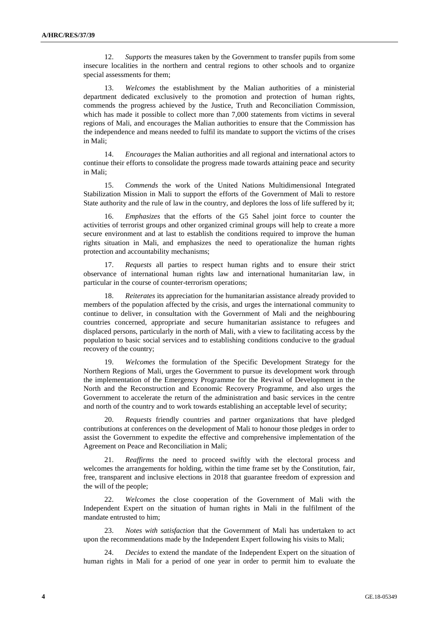12. *Supports* the measures taken by the Government to transfer pupils from some insecure localities in the northern and central regions to other schools and to organize special assessments for them;

13. *Welcomes* the establishment by the Malian authorities of a ministerial department dedicated exclusively to the promotion and protection of human rights, commends the progress achieved by the Justice, Truth and Reconciliation Commission, which has made it possible to collect more than 7,000 statements from victims in several regions of Mali, and encourages the Malian authorities to ensure that the Commission has the independence and means needed to fulfil its mandate to support the victims of the crises in Mali;

14. *Encourages* the Malian authorities and all regional and international actors to continue their efforts to consolidate the progress made towards attaining peace and security in Mali;

15. *Commends* the work of the United Nations Multidimensional Integrated Stabilization Mission in Mali to support the efforts of the Government of Mali to restore State authority and the rule of law in the country, and deplores the loss of life suffered by it;

16. *Emphasizes* that the efforts of the G5 Sahel joint force to counter the activities of terrorist groups and other organized criminal groups will help to create a more secure environment and at last to establish the conditions required to improve the human rights situation in Mali, and emphasizes the need to operationalize the human rights protection and accountability mechanisms;

17. *Requests* all parties to respect human rights and to ensure their strict observance of international human rights law and international humanitarian law, in particular in the course of counter-terrorism operations;

18. *Reiterates* its appreciation for the humanitarian assistance already provided to members of the population affected by the crisis, and urges the international community to continue to deliver, in consultation with the Government of Mali and the neighbouring countries concerned, appropriate and secure humanitarian assistance to refugees and displaced persons, particularly in the north of Mali, with a view to facilitating access by the population to basic social services and to establishing conditions conducive to the gradual recovery of the country;

19. *Welcomes* the formulation of the Specific Development Strategy for the Northern Regions of Mali, urges the Government to pursue its development work through the implementation of the Emergency Programme for the Revival of Development in the North and the Reconstruction and Economic Recovery Programme, and also urges the Government to accelerate the return of the administration and basic services in the centre and north of the country and to work towards establishing an acceptable level of security;

20. *Requests* friendly countries and partner organizations that have pledged contributions at conferences on the development of Mali to honour those pledges in order to assist the Government to expedite the effective and comprehensive implementation of the Agreement on Peace and Reconciliation in Mali;

21. *Reaffirms* the need to proceed swiftly with the electoral process and welcomes the arrangements for holding, within the time frame set by the Constitution, fair, free, transparent and inclusive elections in 2018 that guarantee freedom of expression and the will of the people;

22. *Welcomes* the close cooperation of the Government of Mali with the Independent Expert on the situation of human rights in Mali in the fulfilment of the mandate entrusted to him;

23. *Notes with satisfaction* that the Government of Mali has undertaken to act upon the recommendations made by the Independent Expert following his visits to Mali;

24. *Decides* to extend the mandate of the Independent Expert on the situation of human rights in Mali for a period of one year in order to permit him to evaluate the